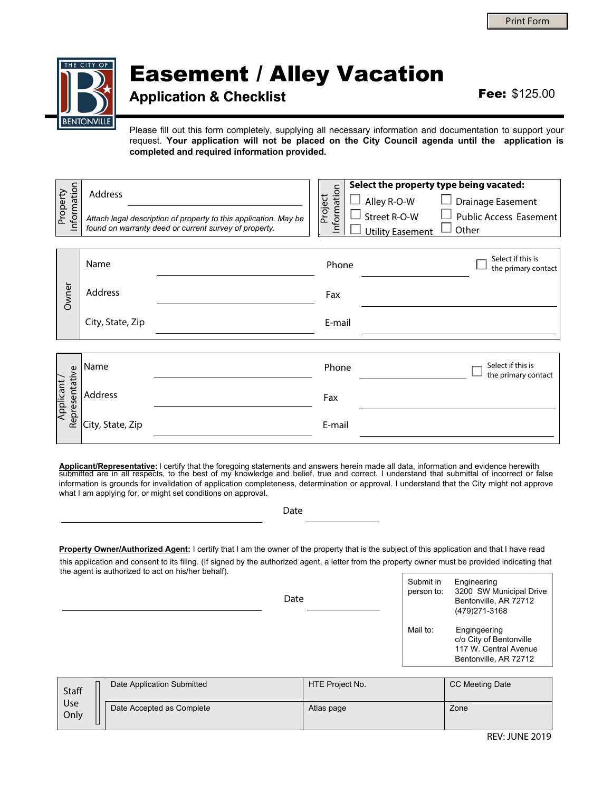REV: JUNE 2019

Submit in Engineering

# Easement / Alley Vacation

### **Application & Checklist** Fee: \$125.00

Please fill out this form completely, supplying all necessary information and documentation to support your request. **Your application will not be placed on the City Council agenda until the application is completed and required information provided.**

| Information<br>Property      | Address          | Attach legal description of property to this application. May be<br>found on warranty deed or current survey of property. | Information<br>Project | Alley R-O-W<br>Street R-O-W<br>$\mathbf{L}$<br><b>Utility Easement</b> | Select the property type being vacated:<br>Drainage Easement<br><b>Public Access Easement</b><br>Other |
|------------------------------|------------------|---------------------------------------------------------------------------------------------------------------------------|------------------------|------------------------------------------------------------------------|--------------------------------------------------------------------------------------------------------|
|                              | Name             |                                                                                                                           | Phone                  |                                                                        | Select if this is<br>the primary contact                                                               |
| Owner                        | Address          |                                                                                                                           | Fax                    |                                                                        |                                                                                                        |
|                              | City, State, Zip |                                                                                                                           | E-mail                 |                                                                        |                                                                                                        |
|                              |                  |                                                                                                                           |                        |                                                                        |                                                                                                        |
|                              | Name             |                                                                                                                           | Phone                  |                                                                        | Select if this is<br>the primary contact                                                               |
| Representative<br>Applicant, | Address          |                                                                                                                           | Fax                    |                                                                        |                                                                                                        |
|                              | City, State, Zip |                                                                                                                           | E-mail                 |                                                                        |                                                                                                        |

**Applicant/Representative:** I certify that the foregoing statements and answers herein made all data, information and evidence herewith submitted are in all respects, to the best of my knowledge and belief, true and correct. I understand that submittal of incorrect or false information is grounds for invalidation of application completeness, determination or approval. I understand that the City might not approve what I am applying for, or might set conditions on approval.

Date

Property Owner/Authorized Agent: I certify that I am the owner of the property that is the subject of this application and that I have read this application and consent to its filing. (If signed by the authorized agent, a letter from the property owner must be provided indicating that the agent is authorized to act on his/her behalf).

| Date | person to: | 3200 SW Municipal Drive<br>Bentonville, AR 72712<br>(479) 271-3168                        |
|------|------------|-------------------------------------------------------------------------------------------|
|      | Mail to:   | Engingeering<br>c/o City of Bentonville<br>117 W. Central Avenue<br>Bentonville, AR 72712 |

| Staff       | Date Application Submitted | HTE Project No. | CC Meeting Date |  |
|-------------|----------------------------|-----------------|-----------------|--|
| Use<br>Only | Date Accepted as Complete  | Atlas page      | Zone            |  |

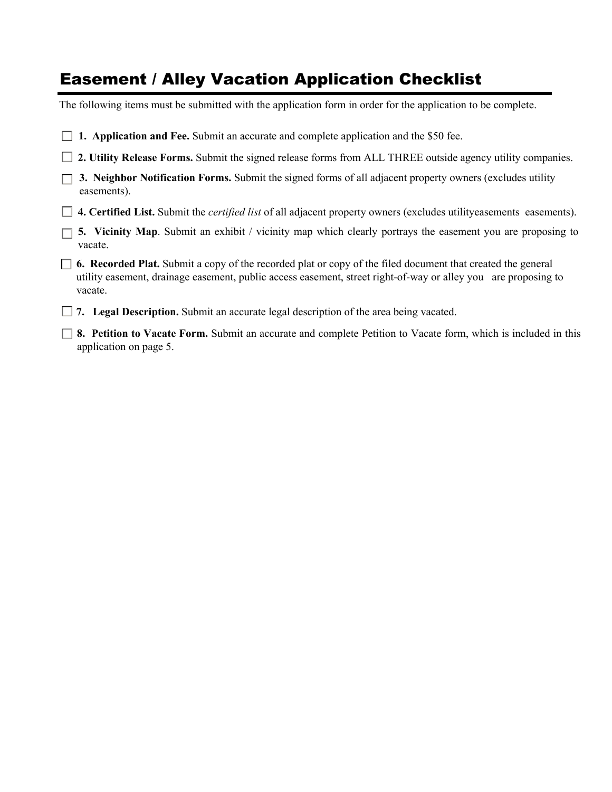# Easement / Alley Vacation Application Checklist

The following items must be submitted with the application form in order for the application to be complete.

| $\Box$ 1. Application and Fee. Submit an accurate and complete application and the \$50 fee. |  |
|----------------------------------------------------------------------------------------------|--|
|----------------------------------------------------------------------------------------------|--|

**2. Utility Release Forms.** Submit the signed release forms from ALL THREE outside agency utility companies.

|             | $\Box$ 3. Neighbor Notification Forms. Submit the signed forms of all adjacent property owners (excludes utility |
|-------------|------------------------------------------------------------------------------------------------------------------|
| easements). |                                                                                                                  |

- **4. Certified List.** Submit the *certified list* of all adjacent property owners (excludes utilityeasements easements).
- **5. Vicinity Map**. Submit an exhibit / vicinity map which clearly portrays the easement you are proposing to vacate.
- **6. Recorded Plat.** Submit a copy of the recorded plat or copy of the filed document that created the general utility easement, drainage easement, public access easement, street right-of-way or alley you are proposing to vacate.

 $\overline{a}$ **7. Legal Description.** Submit an accurate legal description of the area being vacated.

**8. Petition to Vacate Form.** Submit an accurate and complete Petition to Vacate form, which is included in this application on page 5.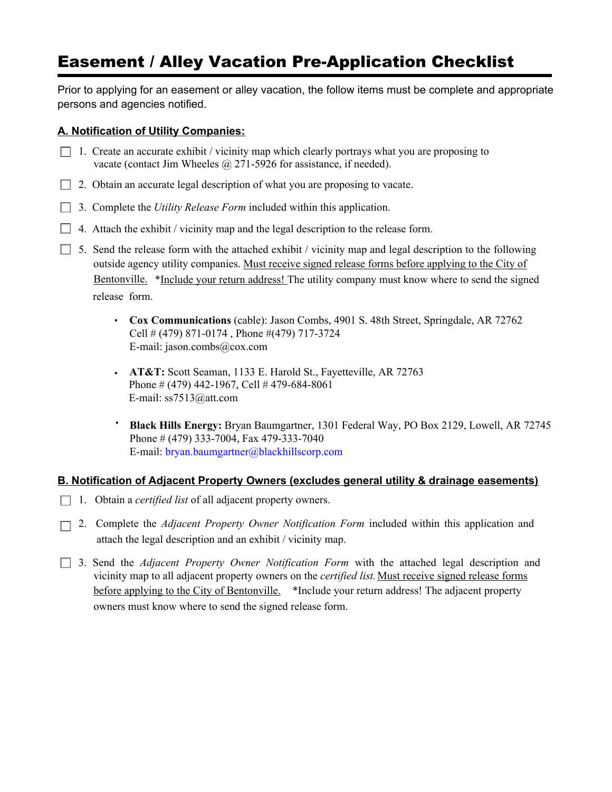# Easement / Alley Vacation Pre-Application Checklist

Prior to applying for an easement or alley vacation, the follow items must be complete and appropriate persons and agencies notified.

#### **A. Notification of Utility Companies:**

- $\Box$  1. Create an accurate exhibit / vicinity map which clearly portrays what you are proposing to vacate (contact Jim Wheeles @ 271-5926 for assistance, if needed).
- $\Box$  2. Obtain an accurate legal description of what you are proposing to vacate.
- J 3. Complete the *Utility Release Form* included within this application.
- $\Box$  4. Attach the exhibit / vicinity map and the legal description to the release form.
- $\Box$  5. Send the release form with the attached exhibit / vicinity map and legal description to the following outside agency utility companies. Must receive signed release forms before applying to the City of Bentonville. \*Include your return address! The utility company must know where to send the signed release form.
	- **Cox Communications** (cable): Jason Combs, 4901 S. 48th Street, Springdale, AR 72762 Cell # (479) 871-0174 , Phone #(479) 717-3724 E-mail: jason.combs@cox.com
	- **AT&T:** Scott Seaman, 1133 E. Harold St., Fayetteville, AR 72763 Phone # (479) 442-1967, Cell # 479-684-8061 E-mail: ss7513@att.com
	- **Black Hills Energy:** Bryan Baumgartner, 1301 Federal Way, PO Box 2129, Lowell, AR 72745 Phone # (479) 333-7004, Fax 479-333-7040 E-mail: [bryan.baumgartner@blackhillscorp.com](mailto:bryan.baumgartner@blackhillscorp.com)

#### **B. Notification of Adjacent Property Owners (excludes general utility & drainage easements)**

- □ 1. Obtain a *certified list* of all adjacent property owners.
- □ 2. Complete the *Adjacent Property Owner Notification Form* included within this application and attach the legal description and an exhibit / vicinity map.
- 3. Send the *Adjacent Property Owner Notification Form* with the attached legal description and vicinity map to all adjacent property owners on the *certified list*. Must receive signed release forms before applying to the City of Bentonville. \*Include your return address! The adjacent property owners must know where to send the signed release form.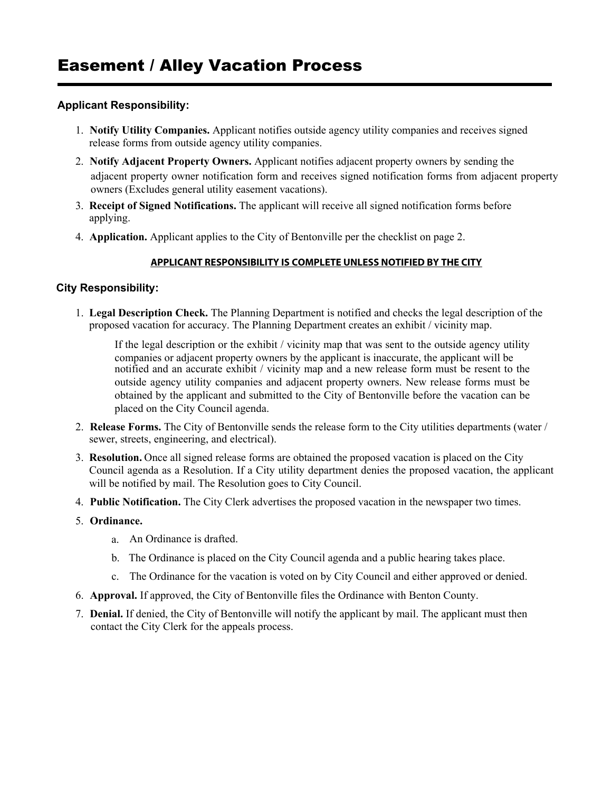#### **Applicant Responsibility:**

- 1. **Notify Utility Companies.** Applicant notifies outside agency utility companies and receives signed release forms from outside agency utility companies.
- 2. **Notify Adjacent Property Owners.** Applicant notifies adjacent property owners by sending the adjacent property owner notification form and receives signed notification forms from adjacent property owners (Excludes general utility easement vacations).
- 3. **Receipt of Signed Notifications.** The applicant will receive all signed notification forms before applying.
- 4. **Application.** Applicant applies to the City of Bentonville per the checklist on page 2.

#### **APPLICANT RESPONSIBILITY IS COMPLETE UNLESS NOTIFIED BY THE CITY**

#### **City Responsibility:**

1. **Legal Description Check.** The Planning Department is notified and checks the legal description of the proposed vacation for accuracy. The Planning Department creates an exhibit / vicinity map.

If the legal description or the exhibit / vicinity map that was sent to the outside agency utility companies or adjacent property owners by the applicant is inaccurate, the applicant will be notified and an accurate exhibit / vicinity map and a new release form must be resent to the outside agency utility companies and adjacent property owners. New release forms must be obtained by the applicant and submitted to the City of Bentonville before the vacation can be placed on the City Council agenda.

- 2. **Release Forms.** The City of Bentonville sends the release form to the City utilities departments (water / sewer, streets, engineering, and electrical).
- 3. **Resolution.** Once all signed release forms are obtained the proposed vacation is placed on the City Council agenda as a Resolution. If a City utility department denies the proposed vacation, the applicant will be notified by mail. The Resolution goes to City Council.
- 4. **Public Notification.** The City Clerk advertises the proposed vacation in the newspaper two times.
- 5. **Ordinance.** 
	- a. An Ordinance is drafted.
	- b. The Ordinance is placed on the City Council agenda and a public hearing takes place.
	- c. The Ordinance for the vacation is voted on by City Council and either approved or denied.
- 6. **Approval.** If approved, the City of Bentonville files the Ordinance with Benton County.
- 7. **Denial.** If denied, the City of Bentonville will notify the applicant by mail. The applicant must then contact the City Clerk for the appeals process.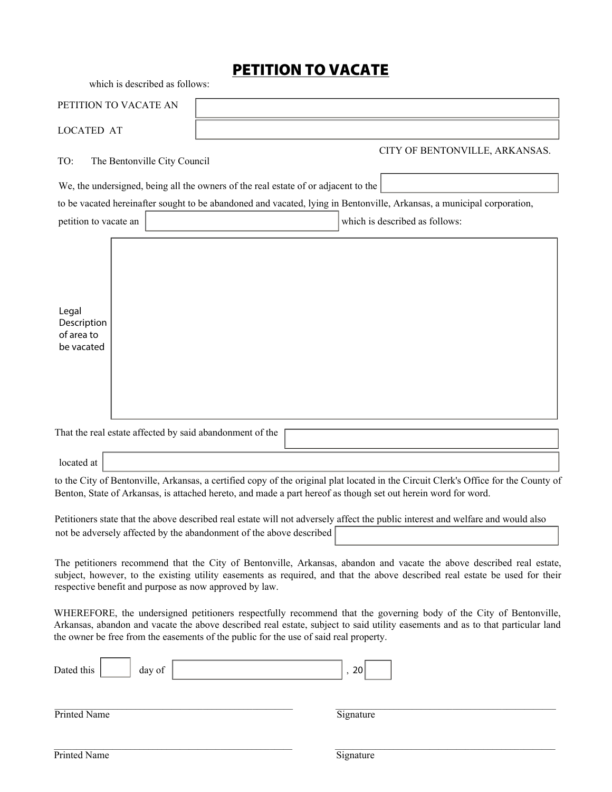## PETITION TO VACATE

which is described as follows:

| PETITION TO VACATE AN                                                                                                                                                                                                                                                                                          |                                                  |  |  |  |
|----------------------------------------------------------------------------------------------------------------------------------------------------------------------------------------------------------------------------------------------------------------------------------------------------------------|--------------------------------------------------|--|--|--|
| <b>LOCATED AT</b>                                                                                                                                                                                                                                                                                              |                                                  |  |  |  |
| CITY OF BENTONVILLE, ARKANSAS.<br>The Bentonville City Council                                                                                                                                                                                                                                                 | TO:                                              |  |  |  |
| We, the undersigned, being all the owners of the real estate of or adjacent to the                                                                                                                                                                                                                             |                                                  |  |  |  |
| to be vacated hereinafter sought to be abandoned and vacated, lying in Bentonville, Arkansas, a municipal corporation,                                                                                                                                                                                         |                                                  |  |  |  |
| $\vert \mathbf{v} \vert$<br>which is described as follows:<br>petition to vacate an                                                                                                                                                                                                                            |                                                  |  |  |  |
|                                                                                                                                                                                                                                                                                                                | Legal<br>Description<br>of area to<br>be vacated |  |  |  |
| That the real estate affected by said abandonment of the                                                                                                                                                                                                                                                       |                                                  |  |  |  |
|                                                                                                                                                                                                                                                                                                                | located at                                       |  |  |  |
| to the City of Bentonville, Arkansas, a certified copy of the original plat located in the Circuit Clerk's Office for the County of<br>Benton, State of Arkansas, is attached hereto, and made a part hereof as though set out herein word for word.                                                           |                                                  |  |  |  |
| Petitioners state that the above described real estate will not adversely affect the public interest and welfare and would also<br>not be adversely affected by the abandonment of the above described                                                                                                         |                                                  |  |  |  |
| The petitioners recommend that the City of Bentonville, Arkansas, abandon and vacate the above described real estate,<br>subject, however, to the existing utility easements as required, and that the above described real estate be used for their<br>respective benefit and purpose as now approved by law. |                                                  |  |  |  |

WHEREFORE, the undersigned petitioners respectfully recommend that the governing body of the City of Bentonville, Arkansas, abandon and vacate the above described real estate, subject to said utility easements and as to that particular land the owner be free from the easements of the public for the use of said real property.

| Dated this | day of |  |  |
|------------|--------|--|--|
|            |        |  |  |

Printed Name Signature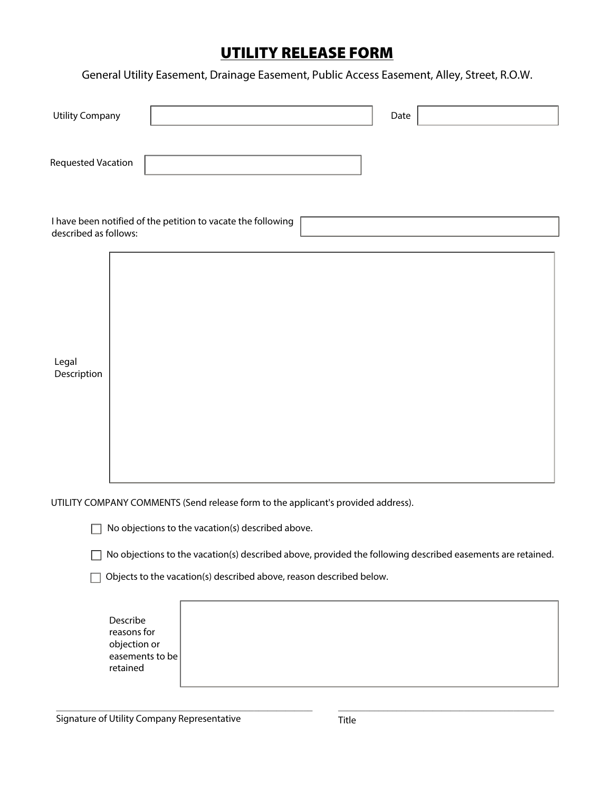# UTILITY RELEASE FORM

General Utility Easement, Drainage Easement, Public Access Easement, Alley, Street, R.O.W.

| <b>Utility Company</b>                                                                | Date                                                                                                       |
|---------------------------------------------------------------------------------------|------------------------------------------------------------------------------------------------------------|
| <b>Requested Vacation</b>                                                             |                                                                                                            |
| I have been notified of the petition to vacate the following<br>described as follows: | $\vert$                                                                                                    |
| Legal<br>Description                                                                  |                                                                                                            |
|                                                                                       | UTILITY COMPANY COMMENTS (Send release form to the applicant's provided address).                          |
|                                                                                       | No objections to the vacation(s) described above.                                                          |
|                                                                                       | No objections to the vacation(s) described above, provided the following described easements are retained. |
|                                                                                       | Objects to the vacation(s) described above, reason described below.                                        |
| Describe<br>reasons for                                                               |                                                                                                            |

objection or easements to be retained

\_\_\_\_\_\_\_\_\_\_\_\_\_\_\_\_\_\_\_\_\_\_\_\_\_\_\_\_\_\_\_\_\_\_\_\_\_\_\_\_\_\_\_\_\_\_\_\_\_\_\_\_\_\_\_\_\_